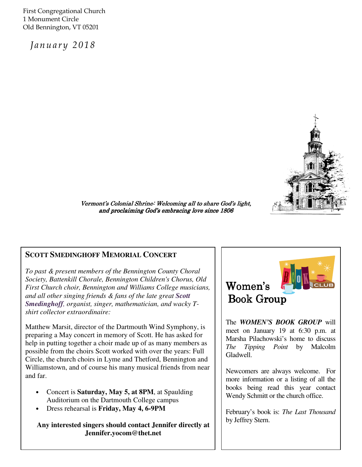First Congregational Church 1 Monument Circle Old Bennington, VT 05201

January 2018



Vermont's Colonial Shrine: Welcoming all to share God's light, and proclaiming God's embracing love since 1806

## **SCOTT SMEDINGHOFF MEMORIAL CONCERT**

*To past & present members of the Bennington County Choral Society, Battenkill Chorale, Bennington Children's Chorus, Old First Church choir, Bennington and Williams College musicians, and all other singing friends & fans of the late great Scott Smedinghoff, organist, singer, mathematician, and wacky Tshirt collector extraordinaire:*

Matthew Marsit, director of the Dartmouth Wind Symphony, is preparing a May concert in memory of Scott. He has asked for help in putting together a choir made up of as many members as possible from the choirs Scott worked with over the years: Full Circle, the church choirs in Lyme and Thetford, Bennington and Williamstown, and of course his many musical friends from near and far.

- Concert is **Saturday, May 5, at 8PM**, at Spaulding Auditorium on the Dartmouth College campus
- Dress rehearsal is **Friday, May 4, 6-9PM**

**Any interested singers should contact Jennifer directly at Jennifer.yocom@thet.net** 



The *WOMEN'S BOOK GROUP* will meet on January 19 at 6:30 p.m. at Marsha Pilachowski's home to discuss *The Tipping Point* by Malcolm Gladwell.

Newcomers are always welcome. For more information or a listing of all the books being read this year contact Wendy Schmitt or the church office.

February's book is: *The Last Thousand* by Jeffrey Stern.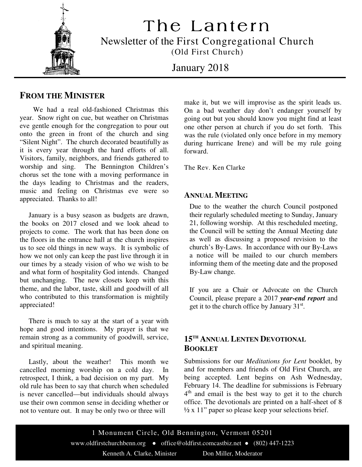

The Lantern Newsletter of the First Congregational Church (Old First Church)

January 2018

# **FROM THE MINISTER**

 We had a real old-fashioned Christmas this year. Snow right on cue, but weather on Christmas eve gentle enough for the congregation to pour out onto the green in front of the church and sing "Silent Night". The church decorated beautifully as it is every year through the hard efforts of all. Visitors, family, neighbors, and friends gathered to worship and sing. The Bennington Children's chorus set the tone with a moving performance in the days leading to Christmas and the readers, music and feeling on Christmas eve were so appreciated. Thanks to all!

 January is a busy season as budgets are drawn, the books on 2017 closed and we look ahead to projects to come. The work that has been done on the floors in the entrance hall at the church inspires us to see old things in new ways. It is symbolic of how we not only can keep the past live through it in our times by a steady vision of who we wish to be and what form of hospitality God intends. Changed but unchanging. The new closets keep with this theme, and the labor, taste, skill and goodwill of all who contributed to this transformation is mightily appreciated!

 There is much to say at the start of a year with hope and good intentions. My prayer is that we remain strong as a community of goodwill, service, and spiritual meaning.

 Lastly, about the weather! This month we cancelled morning worship on a cold day. In retrospect, I think, a bad decision on my part. My old rule has been to say that church when scheduled is never cancelled—but individuals should always use their own common sense in deciding whether or not to venture out. It may be only two or three will

make it, but we will improvise as the spirit leads us. On a bad weather day don't endanger yourself by going out but you should know you might find at least one other person at church if you do set forth. This was the rule (violated only once before in my memory during hurricane Irene) and will be my rule going forward.

The Rev. Ken Clarke

## **ANNUAL MEETING**

Due to the weather the church Council postponed their regularly scheduled meeting to Sunday, January 21, following worship. At this rescheduled meeting, the Council will be setting the Annual Meeting date as well as discussing a proposed revision to the church's By-Laws. In accordance with our By-Laws a notice will be mailed to our church members informing them of the meeting date and the proposed By-Law change.

If you are a Chair or Advocate on the Church Council, please prepare a 2017 *year-end report* and get it to the church office by January  $31<sup>st</sup>$ .

# **15TH ANNUAL LENTEN DEVOTIONAL BOOKLET**

Submissions for our *Meditations for Lent* booklet, by and for members and friends of Old First Church, are being accepted. Lent begins on Ash Wednesday, February 14. The deadline for submissions is February 4<sup>th</sup> and email is the best way to get it to the church office. The devotionals are printed on a half-sheet of 8  $\frac{1}{2}$  x 11" paper so please keep your selections brief.

1 Monument Circle, Old Bennington, Vermont 05201 www.oldfirstchurchbenn.org • office@oldfirst.comcastbiz.net • (802) 447-1223 Kenneth A. Clarke, Minister Don Miller, Moderator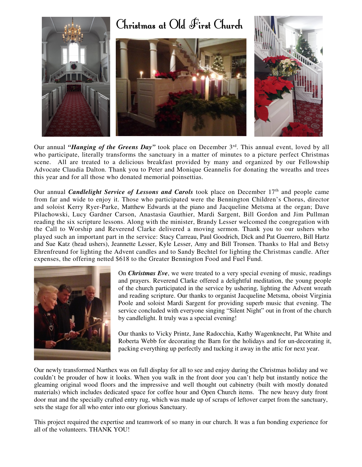

Our annual "*Hanging of the Greens Day*" took place on December 3<sup>rd</sup>. This annual event, loved by all who participate, literally transforms the sanctuary in a matter of minutes to a picture perfect Christmas scene. All are treated to a delicious breakfast provided by many and organized by our Fellowship Advocate Claudia Dalton. Thank you to Peter and Monique Geannelis for donating the wreaths and trees this year and for all those who donated memorial poinsettias.

Our annual *Candlelight Service of Lessons and Carols* took place on December 17<sup>th</sup> and people came from far and wide to enjoy it. Those who participated were the Bennington Children's Chorus, director and soloist Kerry Ryer-Parke, Matthew Edwards at the piano and Jacqueline Metsma at the organ; Dave Pilachowski, Lucy Gardner Carson, Anastasia Gauthier, Mardi Sargent, Bill Gordon and Jim Pullman reading the six scripture lessons. Along with the minister, Brandy Lesser welcomed the congregation with the Call to Worship and Reverend Clarke delivered a moving sermon. Thank you to our ushers who played such an important part in the service: Stacy Carreau, Paul Goodrich, Dick and Pat Guerrero, Bill Hartz and Sue Katz (head ushers), Jeannette Lesser, Kyle Lesser, Amy and Bill Tronsen. Thanks to Hal and Betsy Ehrenfreund for lighting the Advent candles and to Sandy Bechtel for lighting the Christmas candle. After expenses, the offering netted \$618 to the Greater Bennington Food and Fuel Fund.



On *Christmas Eve*, we were treated to a very special evening of music, readings and prayers. Reverend Clarke offered a delightful meditation, the young people of the church participated in the service by ushering, lighting the Advent wreath and reading scripture. Our thanks to organist Jacqueline Metsma, oboist Virginia Poole and soloist Mardi Sargent for providing superb music that evening. The service concluded with everyone singing "Silent Night" out in front of the church by candlelight. It truly was a special evening!

Our thanks to Vicky Printz, Jane Radocchia, Kathy Wagenknecht, Pat White and Roberta Webb for decorating the Barn for the holidays and for un-decorating it, packing everything up perfectly and tucking it away in the attic for next year.

Our newly transformed Narthex was on full display for all to see and enjoy during the Christmas holiday and we couldn't be prouder of how it looks. When you walk in the front door you can't help but instantly notice the gleaming original wood floors and the impressive and well thought out cabinetry (built with mostly donated materials) which includes dedicated space for coffee hour and Open Church items. The new heavy duty front door mat and the specially crafted entry rug, which was made up of scraps of leftover carpet from the sanctuary, sets the stage for all who enter into our glorious Sanctuary.

This project required the expertise and teamwork of so many in our church. It was a fun bonding experience for all of the volunteers. THANK YOU!